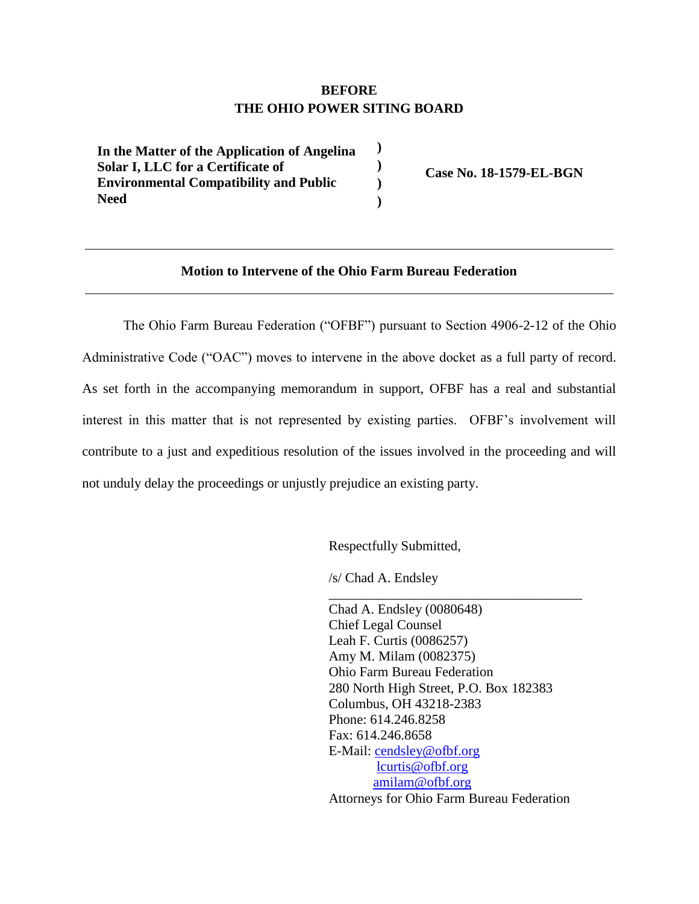## **BEFORE THE OHIO POWER SITING BOARD**

**) ) ) )**

**) In the Matter of the Application of Angelina Solar I, LLC for a Certificate of Environmental Compatibility and Public Need** 

**Case No. 18-1579-EL-BGN**

## **Motion to Intervene of the Ohio Farm Bureau Federation**

The Ohio Farm Bureau Federation ("OFBF") pursuant to Section 4906-2-12 of the Ohio Administrative Code ("OAC") moves to intervene in the above docket as a full party of record. As set forth in the accompanying memorandum in support, OFBF has a real and substantial interest in this matter that is not represented by existing parties. OFBF's involvement will contribute to a just and expeditious resolution of the issues involved in the proceeding and will not unduly delay the proceedings or unjustly prejudice an existing party.

Respectfully Submitted,

/s/ Chad A. Endsley

Chad A. Endsley (0080648) Chief Legal Counsel Leah F. Curtis (0086257) Amy M. Milam (0082375) Ohio Farm Bureau Federation 280 North High Street, P.O. Box 182383 Columbus, OH 43218-2383 Phone: 614.246.8258 Fax: 614.246.8658 E-Mail: [cendsley@ofbf.org](mailto:LGearhardt@ofbf.org) [lcurtis@ofbf.org](mailto:lcurtis@ofbf.org) [amilam@ofbf.org](mailto:amilam@ofbf.org) Attorneys for Ohio Farm Bureau Federation

\_\_\_\_\_\_\_\_\_\_\_\_\_\_\_\_\_\_\_\_\_\_\_\_\_\_\_\_\_\_\_\_\_\_\_\_\_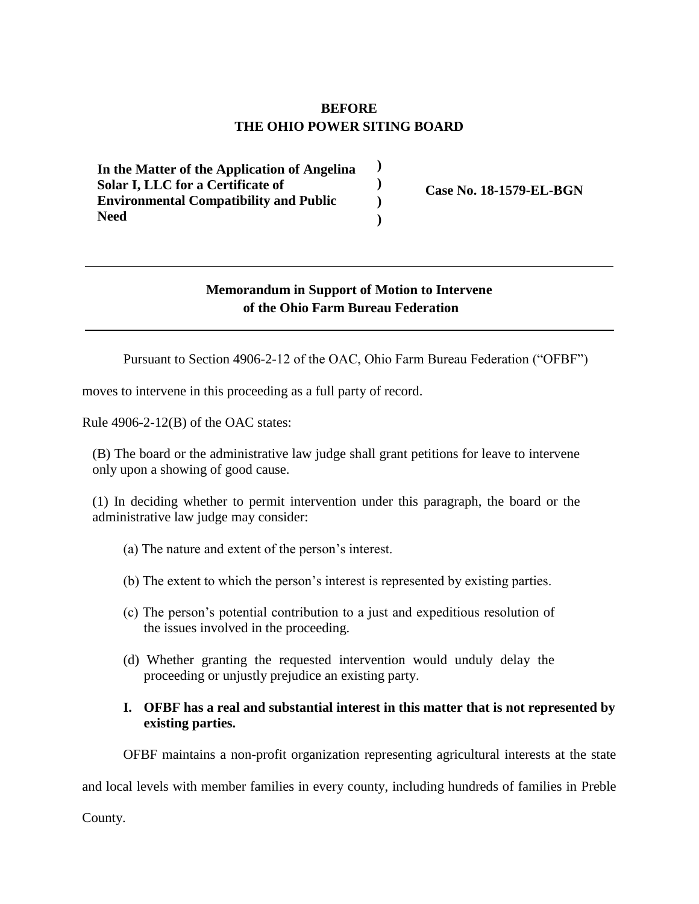# **BEFORE THE OHIO POWER SITING BOARD**

**) ) ) )**

**) In the Matter of the Application of Angelina Solar I, LLC for a Certificate of Environmental Compatibility and Public Need** 

**Case No. 18-1579-EL-BGN**

## **Memorandum in Support of Motion to Intervene of the Ohio Farm Bureau Federation**

Pursuant to Section 4906-2-12 of the OAC, Ohio Farm Bureau Federation ("OFBF")

moves to intervene in this proceeding as a full party of record.

Rule 4906-2-12(B) of the OAC states:

(B) The board or the administrative law judge shall grant petitions for leave to intervene only upon a showing of good cause.

(1) In deciding whether to permit intervention under this paragraph, the board or the administrative law judge may consider:

- (a) The nature and extent of the person's interest.
- (b) The extent to which the person's interest is represented by existing parties.
- (c) The person's potential contribution to a just and expeditious resolution of the issues involved in the proceeding.
- (d) Whether granting the requested intervention would unduly delay the proceeding or unjustly prejudice an existing party.

### **I. OFBF has a real and substantial interest in this matter that is not represented by existing parties.**

OFBF maintains a non-profit organization representing agricultural interests at the state

and local levels with member families in every county, including hundreds of families in Preble

County.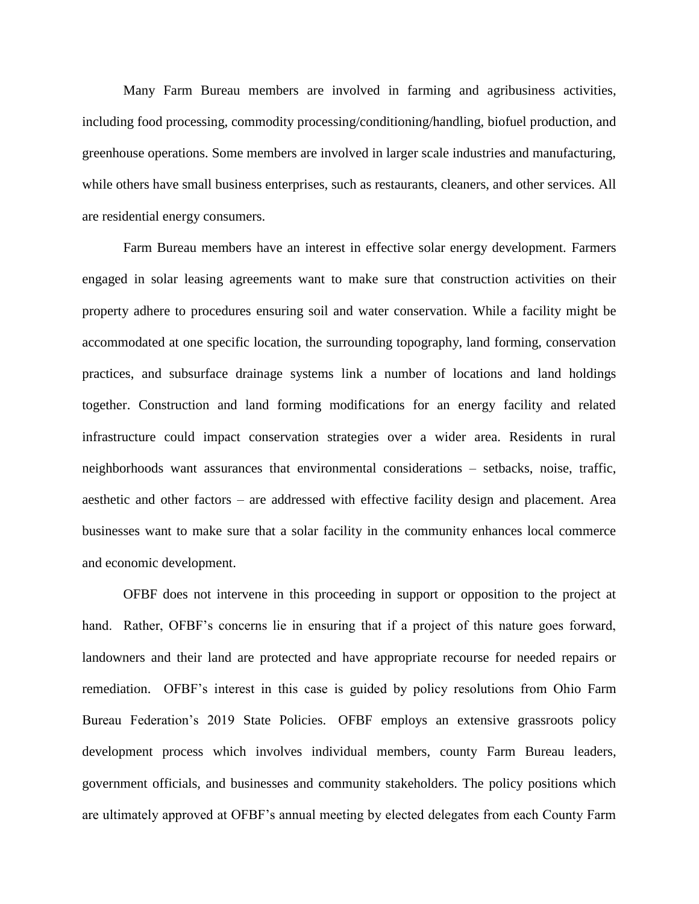Many Farm Bureau members are involved in farming and agribusiness activities, including food processing, commodity processing/conditioning/handling, biofuel production, and greenhouse operations. Some members are involved in larger scale industries and manufacturing, while others have small business enterprises, such as restaurants, cleaners, and other services. All are residential energy consumers.

Farm Bureau members have an interest in effective solar energy development. Farmers engaged in solar leasing agreements want to make sure that construction activities on their property adhere to procedures ensuring soil and water conservation. While a facility might be accommodated at one specific location, the surrounding topography, land forming, conservation practices, and subsurface drainage systems link a number of locations and land holdings together. Construction and land forming modifications for an energy facility and related infrastructure could impact conservation strategies over a wider area. Residents in rural neighborhoods want assurances that environmental considerations – setbacks, noise, traffic, aesthetic and other factors – are addressed with effective facility design and placement. Area businesses want to make sure that a solar facility in the community enhances local commerce and economic development.

OFBF does not intervene in this proceeding in support or opposition to the project at hand. Rather, OFBF's concerns lie in ensuring that if a project of this nature goes forward, landowners and their land are protected and have appropriate recourse for needed repairs or remediation. OFBF's interest in this case is guided by policy resolutions from Ohio Farm Bureau Federation's 2019 State Policies. OFBF employs an extensive grassroots policy development process which involves individual members, county Farm Bureau leaders, government officials, and businesses and community stakeholders. The policy positions which are ultimately approved at OFBF's annual meeting by elected delegates from each County Farm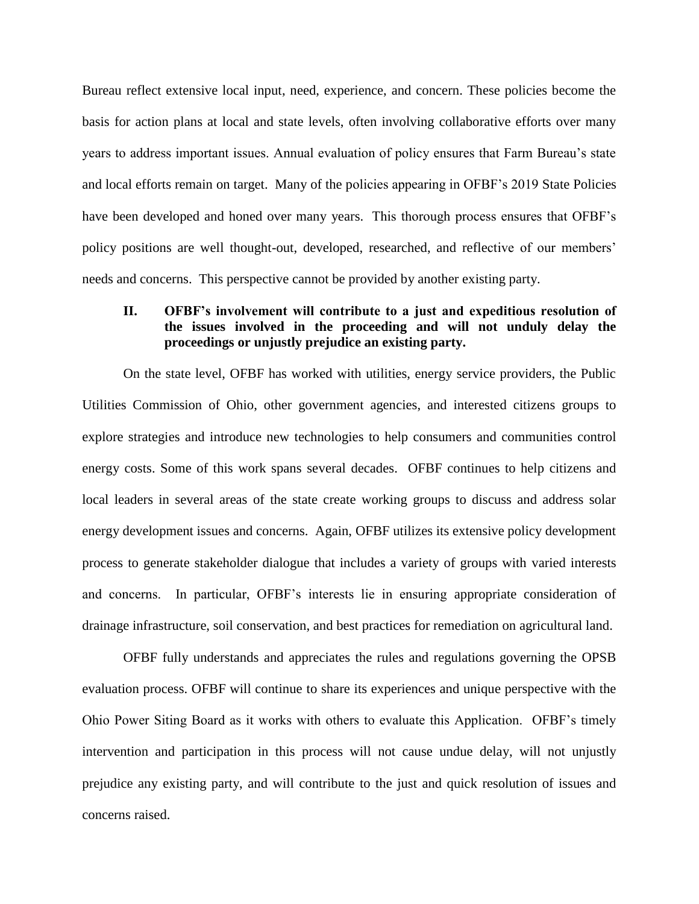Bureau reflect extensive local input, need, experience, and concern. These policies become the basis for action plans at local and state levels, often involving collaborative efforts over many years to address important issues. Annual evaluation of policy ensures that Farm Bureau's state and local efforts remain on target. Many of the policies appearing in OFBF's 2019 State Policies have been developed and honed over many years. This thorough process ensures that OFBF's policy positions are well thought-out, developed, researched, and reflective of our members' needs and concerns. This perspective cannot be provided by another existing party.

## **II. OFBF's involvement will contribute to a just and expeditious resolution of the issues involved in the proceeding and will not unduly delay the proceedings or unjustly prejudice an existing party.**

On the state level, OFBF has worked with utilities, energy service providers, the Public Utilities Commission of Ohio, other government agencies, and interested citizens groups to explore strategies and introduce new technologies to help consumers and communities control energy costs. Some of this work spans several decades. OFBF continues to help citizens and local leaders in several areas of the state create working groups to discuss and address solar energy development issues and concerns. Again, OFBF utilizes its extensive policy development process to generate stakeholder dialogue that includes a variety of groups with varied interests and concerns. In particular, OFBF's interests lie in ensuring appropriate consideration of drainage infrastructure, soil conservation, and best practices for remediation on agricultural land.

OFBF fully understands and appreciates the rules and regulations governing the OPSB evaluation process. OFBF will continue to share its experiences and unique perspective with the Ohio Power Siting Board as it works with others to evaluate this Application. OFBF's timely intervention and participation in this process will not cause undue delay, will not unjustly prejudice any existing party, and will contribute to the just and quick resolution of issues and concerns raised.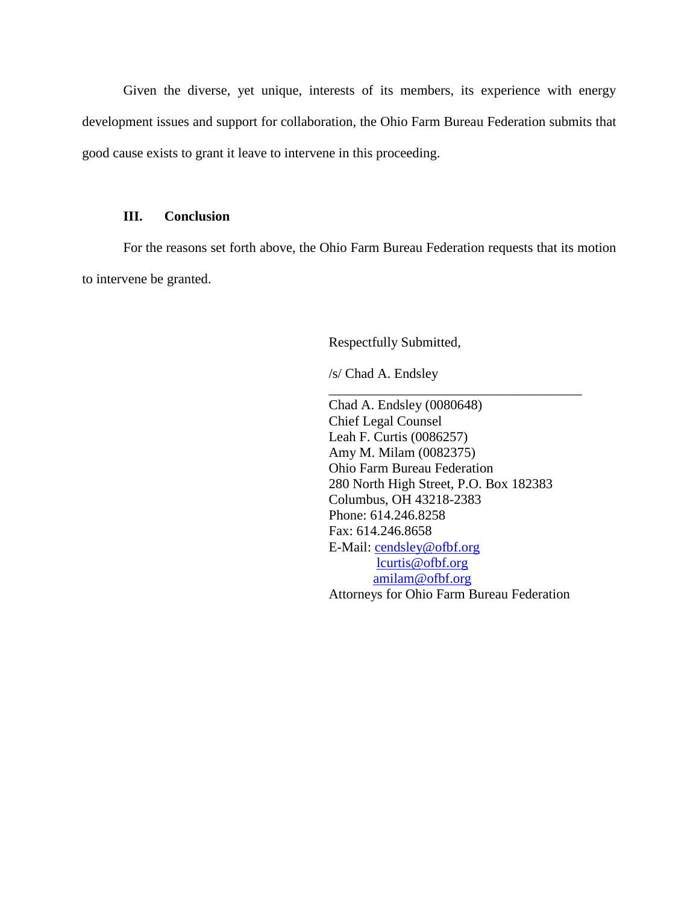Given the diverse, yet unique, interests of its members, its experience with energy development issues and support for collaboration, the Ohio Farm Bureau Federation submits that good cause exists to grant it leave to intervene in this proceeding.

### **III. Conclusion**

For the reasons set forth above, the Ohio Farm Bureau Federation requests that its motion to intervene be granted.

Respectfully Submitted,

/s/ Chad A. Endsley

Chad A. Endsley (0080648) Chief Legal Counsel Leah F. Curtis (0086257) Amy M. Milam (0082375) Ohio Farm Bureau Federation 280 North High Street, P.O. Box 182383 Columbus, OH 43218-2383 Phone: 614.246.8258 Fax: 614.246.8658 E-Mail: [cendsley@ofbf.org](mailto:LGearhardt@ofbf.org) [lcurtis@ofbf.org](mailto:lcurtis@ofbf.org) [amilam@ofbf.org](mailto:amilam@ofbf.org) Attorneys for Ohio Farm Bureau Federation

\_\_\_\_\_\_\_\_\_\_\_\_\_\_\_\_\_\_\_\_\_\_\_\_\_\_\_\_\_\_\_\_\_\_\_\_\_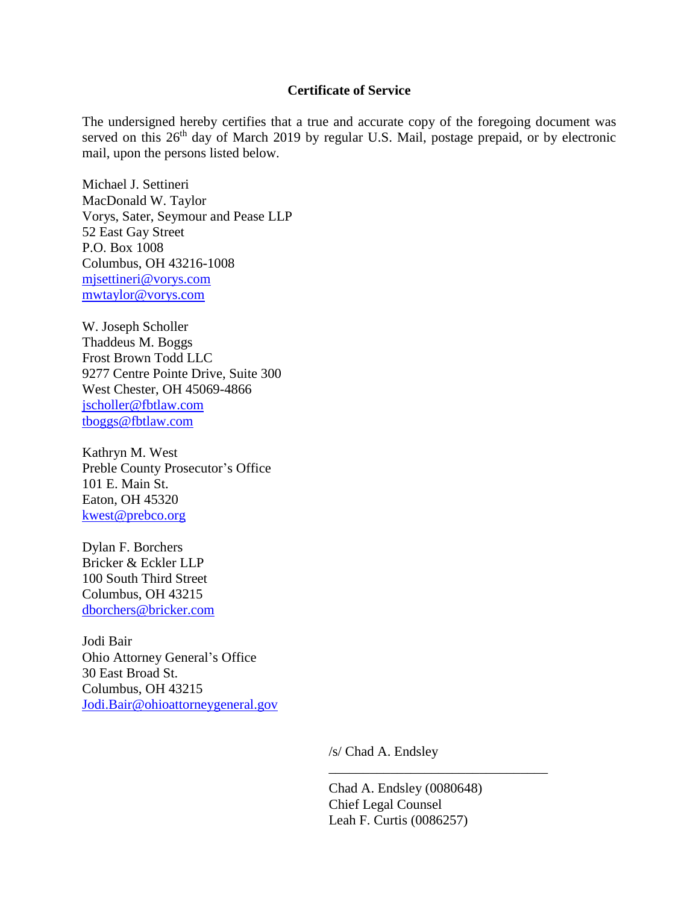#### **Certificate of Service**

The undersigned hereby certifies that a true and accurate copy of the foregoing document was served on this 26<sup>th</sup> day of March 2019 by regular U.S. Mail, postage prepaid, or by electronic mail, upon the persons listed below.

Michael J. Settineri MacDonald W. Taylor Vorys, Sater, Seymour and Pease LLP 52 East Gay Street P.O. Box 1008 Columbus, OH 43216-1008 [mjsettineri@vorys.com](mailto:mjsettineri@vorys.com) [mwtaylor@vorys.com](mailto:mwtaylor@vorys.com)

W. Joseph Scholler Thaddeus M. Boggs Frost Brown Todd LLC 9277 Centre Pointe Drive, Suite 300 West Chester, OH 45069-4866 [jscholler@fbtlaw.com](mailto:jscholler@fbtlaw.com) [tboggs@fbtlaw.com](mailto:tboggs@fbtlaw.com)

Kathryn M. West Preble County Prosecutor's Office 101 E. Main St. Eaton, OH 45320 [kwest@prebco.org](mailto:kwest@prebco.org)

Dylan F. Borchers Bricker & Eckler LLP 100 South Third Street Columbus, OH 43215 [dborchers@bricker.com](mailto:dborchers@bricker.com)

Jodi Bair Ohio Attorney General's Office 30 East Broad St. Columbus, OH 43215 [Jodi.Bair@ohioattorneygeneral.gov](mailto:Jodi.Bair@ohioattorneygeneral.gov)

/s/ Chad A. Endsley

Chad A. Endsley (0080648) Chief Legal Counsel Leah F. Curtis (0086257)

\_\_\_\_\_\_\_\_\_\_\_\_\_\_\_\_\_\_\_\_\_\_\_\_\_\_\_\_\_\_\_\_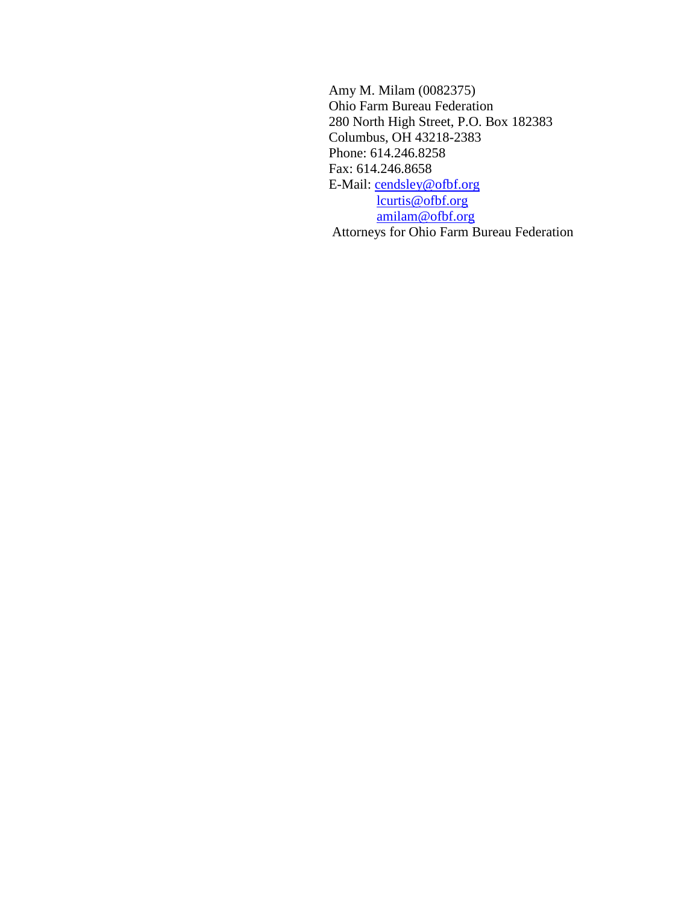Amy M. Milam (0082375) Ohio Farm Bureau Federation 280 North High Street, P.O. Box 182383 Columbus, OH 43218-2383 Phone: 614.246.8258 Fax: 614.246.8658 E-Mail: [cendsley@ofbf.org](mailto:LGearhardt@ofbf.org) [lcurtis@ofbf.org](mailto:lcurtis@ofbf.org) [amilam@ofbf.org](mailto:amilam@ofbf.org) Attorneys for Ohio Farm Bureau Federation